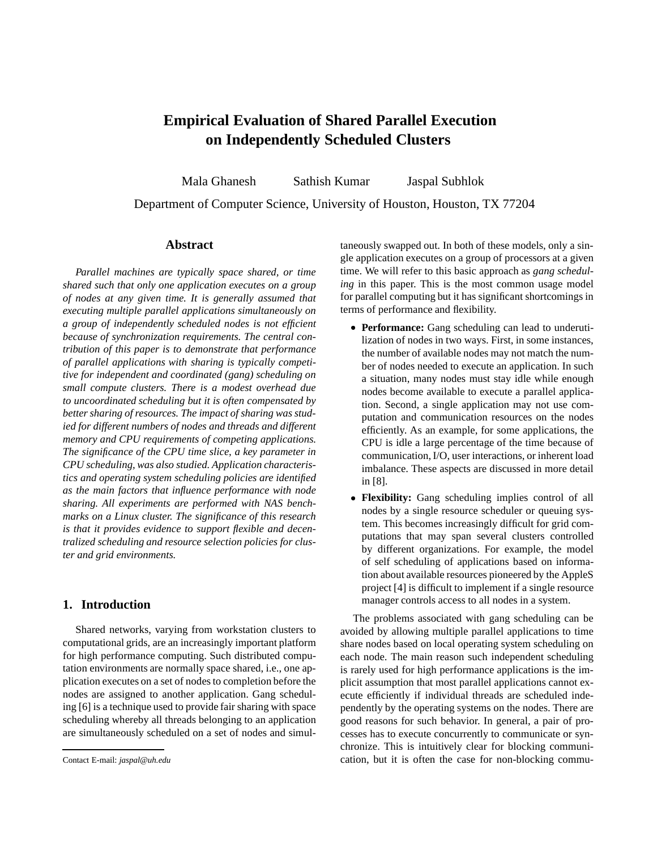# **Empirical Evaluation of Shared Parallel Execution on Independently Scheduled Clusters**

Mala Ghanesh Sathish Kumar Jaspal Subhlok Department of Computer Science, University of Houston, Houston, TX 77204

### **Abstract**

*Parallel machines are typically space shared, or time shared such that only one application executes on a group of nodes at any given time. It is generally assumed that executing multiple parallel applications simultaneously on a group of independently scheduled nodes is not efficient because of synchronization requirements. The central contribution of this paper is to demonstrate that performance of parallel applications with sharing is typically competitive for independent and coordinated (gang) scheduling on small compute clusters. There is a modest overhead due to uncoordinated scheduling but it is often compensated by better sharing of resources. The impact of sharing was studied for different numbers of nodes and threads and different memory and CPU requirements of competing applications. The significance of the CPU time slice, a key parameter in CPU scheduling, was also studied. Application characteristics and operating system scheduling policies are identified as the main factors that influence performance with node sharing. All experiments are performed with NAS benchmarks on a Linux cluster. The significance of this research is that it provides evidence to support flexible and decentralized scheduling and resource selection policies for cluster and grid environments.*

# **1. Introduction**

Shared networks, varying from workstation clusters to computational grids, are an increasingly important platform for high performance computing. Such distributed computation environments are normally space shared, i.e., one application executes on a set of nodes to completion before the nodes are assigned to another application. Gang scheduling [6] is a technique used to provide fair sharing with space scheduling whereby all threads belonging to an application are simultaneously scheduled on a set of nodes and simultaneously swapped out. In both of these models, only a single application executes on a group of processors at a given time. We will refer to this basic approach as *gang scheduling* in this paper. This is the most common usage model for parallel computing but it has significant shortcomings in terms of performance and flexibility.

- **Performance:** Gang scheduling can lead to underutilization of nodes in two ways. First, in some instances, the number of available nodes may not match the number of nodes needed to execute an application. In such a situation, many nodes must stay idle while enough nodes become available to execute a parallel application. Second, a single application may not use computation and communication resources on the nodes efficiently. As an example, for some applications, the CPU is idle a large percentage of the time because of communication,I/O, user interactions, or inherent load imbalance. These aspects are discussed in more detail in [8].
- **Flexibility:** Gang scheduling implies control of all nodes by a single resource scheduler or queuing system. This becomes increasingly difficult for grid computations that may span several clusters controlled by different organizations. For example, the model of self scheduling of applications based on information about available resources pioneered by the AppleS project [4] is difficult to implement if a single resource manager controls access to all nodes in a system.

The problems associated with gang scheduling can be avoided by allowing multiple parallel applications to time share nodes based on local operating system scheduling on each node. The main reason such independent scheduling is rarely used for high performance applications is the implicit assumption that most parallel applications cannot execute efficiently if individual threads are scheduled independently by the operating systems on the nodes. There are good reasons for such behavior. In general, a pair of processes has to execute concurrently to communicate or synchronize. This is intuitively clear for blocking communication, but it is often the case for non-blocking commu-

Contact E-mail: *jaspal@uh.edu*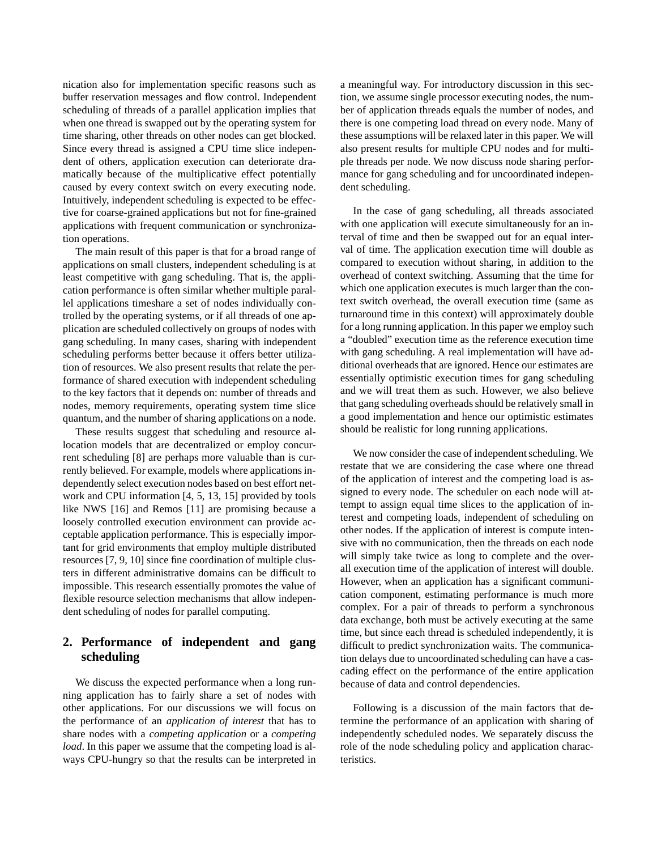nication also for implementation specific reasons such as buffer reservation messages and flow control. Independent scheduling of threads of a parallel application implies that when one thread is swapped out by the operating system for time sharing, other threads on other nodes can get blocked. Since every thread is assigned a CPU time slice independent of others, application execution can deteriorate dramatically because of the multiplicative effect potentially caused by every context switch on every executing node. Intuitively, independent scheduling is expected to be effective for coarse-grained applications but not for fine-grained applications with frequent communication or synchronization operations.

The main result of this paper is that for a broad range of applications on small clusters, independent scheduling is at least competitive with gang scheduling. That is, the application performance is often similar whether multiple parallel applications timeshare a set of nodes individually controlled by the operating systems, or if all threads of one application are scheduled collectively on groups of nodes with gang scheduling. In many cases, sharing with independent scheduling performs better because it offers better utilization of resources. We also present results that relate the performance of shared execution with independent scheduling to the key factors that it depends on: number of threads and nodes, memory requirements, operating system time slice quantum, and the number of sharing applications on a node.

These results suggest that scheduling and resource allocation models that are decentralized or employ concurrent scheduling [8] are perhaps more valuable than is currently believed. For example, models where applications independently select execution nodes based on best effort network and CPU information [4, 5, 13, 15] provided by tools like NWS [16] and Remos [11] are promising because a loosely controlled execution environment can provide acceptable application performance. This is especially important for grid environments that employ multiple distributed resources [7, 9, 10] since fine coordination of multiple clusters in different administrative domains can be difficult to impossible. This research essentially promotes the value of flexible resource selection mechanisms that allow independent scheduling of nodes for parallel computing.

# **2. Performance of independent and gang scheduling**

We discuss the expected performance when a long running application has to fairly share a set of nodes with other applications. For our discussions we will focus on the performance of an *application of interest* that has to share nodes with a *competing application* or a *competing load*. In this paper we assume that the competing load is always CPU-hungry so that the results can be interpreted in a meaningful way. For introductory discussion in this section, we assume single processor executing nodes, the number of application threads equals the number of nodes, and there is one competing load thread on every node. Many of these assumptions will be relaxed later in this paper. We will also present results for multiple CPU nodes and for multiple threads per node. We now discuss node sharing performance for gang scheduling and for uncoordinated independent scheduling.

In the case of gang scheduling, all threads associated with one application will execute simultaneously for an interval of time and then be swapped out for an equal interval of time. The application execution time will double as compared to execution without sharing, in addition to the overhead of context switching. Assuming that the time for which one application executes is much larger than the context switch overhead, the overall execution time (same as turnaround time in this context) will approximately double for a long running application. In this paper we employ such a "doubled" execution time as the reference execution time with gang scheduling. A real implementation will have additional overheads that are ignored. Hence our estimates are essentially optimistic execution times for gang scheduling and we will treat them as such. However, we also believe that gang scheduling overheads should be relatively small in a good implementation and hence our optimistic estimates should be realistic for long running applications.

We now consider the case of independent scheduling. We restate that we are considering the case where one thread of the application of interest and the competing load is assigned to every node. The scheduler on each node will attempt to assign equal time slices to the application of interest and competing loads, independent of scheduling on other nodes. If the application of interest is compute intensive with no communication, then the threads on each node will simply take twice as long to complete and the overall execution time of the application of interest will double. However, when an application has a significant communication component, estimating performance is much more complex. For a pair of threads to perform a synchronous data exchange, both must be actively executing at the same time, but since each thread is scheduled independently, it is difficult to predict synchronization waits. The communication delays due to uncoordinated scheduling can have a cascading effect on the performance of the entire application because of data and control dependencies.

Following is a discussion of the main factors that determine the performance of an application with sharing of independently scheduled nodes. We separately discuss the role of the node scheduling policy and application characteristics.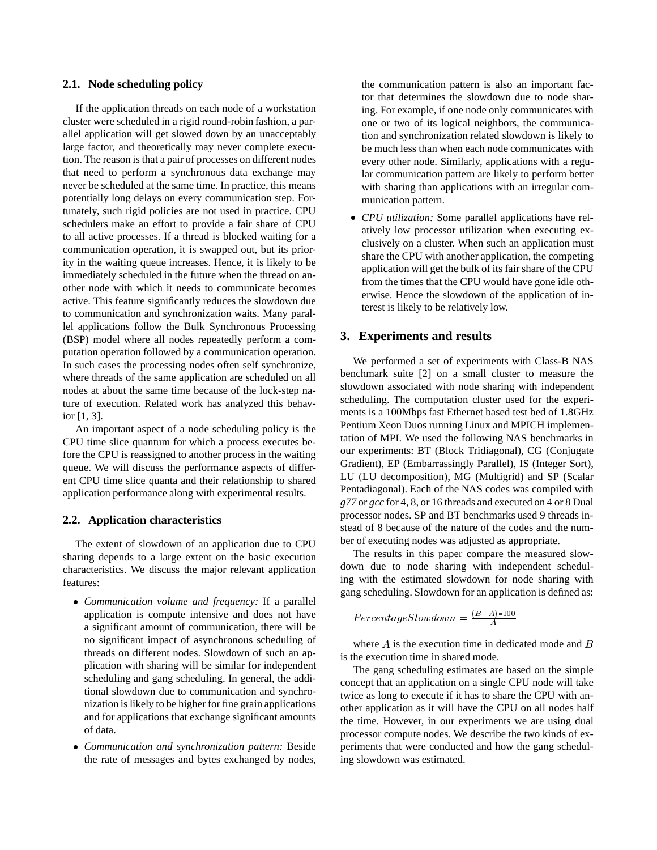### **2.1. Node scheduling policy**

If the application threads on each node of a workstation cluster were scheduled in a rigid round-robin fashion, a parallel application will get slowed down by an unacceptably large factor, and theoretically may never complete execution. The reason is that a pair of processes on different nodes that need to perform a synchronous data exchange may never be scheduled at the same time. In practice, this means potentially long delays on every communication step. Fortunately, such rigid policies are not used in practice. CPU schedulers make an effort to provide a fair share of CPU to all active processes. If a thread is blocked waiting for a communication operation, it is swapped out, but its priority in the waiting queue increases. Hence, it is likely to be immediately scheduled in the future when the thread on another node with which it needs to communicate becomes active. This feature significantly reduces the slowdown due to communication and synchronization waits. Many parallel applications follow the Bulk Synchronous Processing (BSP) model where all nodes repeatedly perform a computation operation followed by a communication operation. In such cases the processing nodes often self synchronize, where threads of the same application are scheduled on all nodes at about the same time because of the lock-step nature of execution. Related work has analyzed this behavior [1, 3].

An important aspect of a node scheduling policy is the CPU time slice quantum for which a process executes before the CPU is reassigned to another process in the waiting queue. We will discuss the performance aspects of different CPU time slice quanta and their relationship to shared application performance along with experimental results.

### **2.2. Application characteristics**

The extent of slowdown of an application due to CPU sharing depends to a large extent on the basic execution characteristics. We discuss the major relevant application features:

- *Communication volume and frequency:* If a parallel application is compute intensive and does not have a significant amount of communication, there will be no significant impact of asynchronous scheduling of threads on different nodes. Slowdown of such an application with sharing will be similar for independent scheduling and gang scheduling. In general, the additional slowdown due to communication and synchronization is likely to be higher for fine grain applications and for applications that exchange significant amounts of data.
- *Communication and synchronization pattern:* Beside the rate of messages and bytes exchanged by nodes,

the communication pattern is also an important factor that determines the slowdown due to node sharing. For example, if one node only communicates with one or two of its logical neighbors, the communication and synchronization related slowdown is likely to be much less than when each node communicates with every other node. Similarly, applications with a regular communication pattern are likely to perform better with sharing than applications with an irregular communication pattern.

 *CPU utilization:* Some parallel applications have relatively low processor utilization when executing exclusively on a cluster. When such an application must share the CPU with another application, the competing application will get the bulk of its fair share of the CPU from the times that the CPU would have gone idle otherwise. Hence the slowdown of the application of interest is likely to be relatively low.

### **3. Experiments and results**

We performed a set of experiments with Class-B NAS benchmark suite [2] on a small cluster to measure the slowdown associated with node sharing with independent scheduling. The computation cluster used for the experiments is a 100Mbps fast Ethernet based test bed of 1.8GHz Pentium Xeon Duos running Linux and MPICH implementation of MPI. We used the following NAS benchmarks in our experiments: BT (Block Tridiagonal), CG (Conjugate Gradient), EP (Embarrassingly Parallel), IS (Integer Sort), LU (LU decomposition), MG (Multigrid) and SP (Scalar Pentadiagonal). Each of the NAS codes was compiled with *g77* or *gcc* for 4, 8, or 16 threads and executed on 4 or 8 Dual processor nodes. SP and BT benchmarks used 9 threads instead of 8 because of the nature of the codes and the number of executing nodes was adjusted as appropriate.

The results in this paper compare the measured slowdown due to node sharing with independent scheduling with the estimated slowdown for node sharing with gang scheduling. Slowdown for an application is defined as:

$$
PercentageSlowdown = \tfrac{(B-A)*100}{A}
$$

where  $A$  is the execution time in dedicated mode and  $B$ is the execution time in shared mode.

The gang scheduling estimates are based on the simple concept that an application on a single CPU node will take twice as long to execute if it has to share the CPU with another application as it will have the CPU on all nodes half the time. However, in our experiments we are using dual processor compute nodes. We describe the two kinds of experiments that were conducted and how the gang scheduling slowdown was estimated.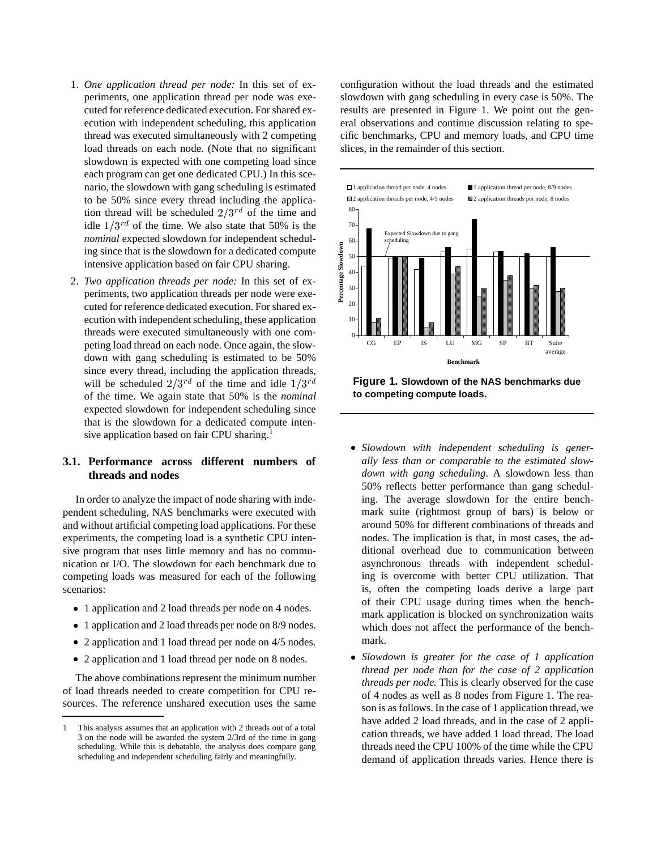- 1. *One application thread per node:* In this set of experiments, one application thread per node was executed for reference dedicated execution. For shared execution with independent scheduling, this application thread was executed simultaneously with 2 competing load threads on each node. (Note that no significant slowdown is expected with one competing load since each program can get one dedicated CPU.) In this scenario, the slowdown with gang scheduling is estimated to be 50% since every thread including the application thread will be scheduled  $2/3^{rd}$  of the time and idle  $1/3^{rd}$  of the time. We also state that 50% is the *nominal* expected slowdown for independent scheduling since that is the slowdown for a dedicated compute intensive application based on fair CPU sharing.
- 2. *Two application threads per node:* In this set of experiments, two application threads per node were executed for reference dedicated execution. For shared execution with independent scheduling, these application threads were executed simultaneously with one competing load thread on each node. Once again, the slowdown with gang scheduling is estimated to be 50% since every thread, including the application threads, will be scheduled  $2/3^{rd}$  of the time and idle  $1/3^{rd}$ of the time. We again state that 50% is the *nominal* expected slowdown for independent scheduling since that is the slowdown for a dedicated compute intensive application based on fair CPU sharing.<sup>1</sup>

# **3.1. Performance across different numbers of threads and nodes**

In order to analyze the impact of node sharing with independent scheduling, NAS benchmarks were executed with and without artificial competing load applications. For these experiments, the competing load is a synthetic CPU intensive program that uses little memory and has no communication or I/O. The slowdown for each benchmark due to competing loads was measured for each of the following scenarios:

- 1 application and 2 load threads per node on 4 nodes.
- 1 application and 2 load threads per node on 8/9 nodes.
- 2 application and 1 load thread per node on 4/5 nodes.
- 2 application and 1 load thread per node on 8 nodes.

The above combinations represent the minimum number of load threads needed to create competition for CPU resources. The reference unshared execution uses the same

configuration without the load threads and the estimated slowdown with gang scheduling in every case is 50%. The results are presented in Figure 1. We point out the general observations and continue discussion relating to specific benchmarks, CPU and memory loads, and CPU time slices, in the remainder of this section.



**Figure 1. Slowdown of the NAS benchmarks due to competing compute loads.**

- *Slowdown with independent scheduling is generally less than or comparable to the estimated slowdown with gang scheduling*. A slowdown less than 50% reflects better performance than gang scheduling. The average slowdown for the entire benchmark suite (rightmost group of bars) is below or around 50% for different combinations of threads and nodes. The implication is that, in most cases, the additional overhead due to communication between asynchronous threads with independent scheduling is overcome with better CPU utilization. That is, often the competing loads derive a large part of their CPU usage during times when the benchmark application is blocked on synchronization waits which does not affect the performance of the benchmark.
- *Slowdown is greater for the case of 1 application thread per node than for the case of 2 application threads per node.* This is clearly observed for the case of 4 nodes as well as 8 nodes from Figure 1. The reason is as follows. In the case of 1 application thread, we have added 2 load threads, and in the case of 2 application threads, we have added 1 load thread. The load threads need the CPU 100% of the time while the CPU demand of application threads varies. Hence there is

<sup>1</sup> This analysis assumes that an application with 2 threads out of a total 3 on the node will be awarded the system 2/3rd of the time in gang scheduling. While this is debatable, the analysis does compare gang scheduling and independent scheduling fairly and meaningfully.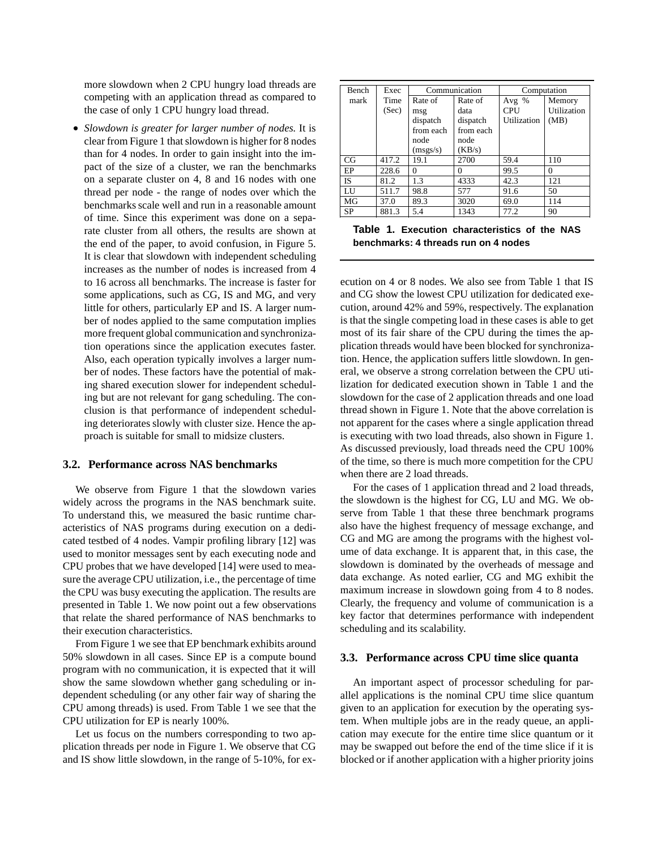more slowdown when 2 CPU hungry load threads are competing with an application thread as compared to the case of only 1 CPU hungry load thread.

 *Slowdown is greater for larger number of nodes.* It is clear from Figure 1 thatslowdown is higher for 8 nodes than for 4 nodes. In order to gain insight into the impact of the size of a cluster, we ran the benchmarks on a separate cluster on 4, 8 and 16 nodes with one thread per node - the range of nodes over which the benchmarks scale well and run in a reasonable amount of time. Since this experiment was done on a separate cluster from all others, the results are shown at the end of the paper, to avoid confusion, in Figure 5. It is clear that slowdown with independent scheduling increases as the number of nodes is increased from 4 to 16 across all benchmarks. The increase is faster for some applications, such as CG, IS and MG, and very little for others, particularly EP and IS. A larger number of nodes applied to the same computation implies more frequent global communication and synchronization operations since the application executes faster. Also, each operation typically involves a larger number of nodes. These factors have the potential of making shared execution slower for independent scheduling but are not relevant for gang scheduling. The conclusion is that performance of independent scheduling deteriorates slowly with cluster size. Hence the approach is suitable for small to midsize clusters.

#### **3.2. Performance across NAS benchmarks**

We observe from Figure 1 that the slowdown varies widely across the programs in the NAS benchmark suite. To understand this, we measured the basic runtime characteristics of NAS programs during execution on a dedicated testbed of 4 nodes. Vampir profiling library [12] was used to monitor messages sent by each executing node and CPU probes that we have developed [14] were used to measure the average CPU utilization, i.e., the percentage of time the CPU was busy executing the application. The results are presented in Table 1. We now point out a few observations that relate the shared performance of NAS benchmarks to their execution characteristics.

From Figure 1 we see that EP benchmark exhibits around 50% slowdown in all cases. Since EP is a compute bound program with no communication, it is expected that it will show the same slowdown whether gang scheduling or independent scheduling (or any other fair way of sharing the CPU among threads) is used. From Table 1 we see that the CPU utilization for EP is nearly 100%.

Let us focus on the numbers corresponding to two application threads per node in Figure 1. We observe that CG and IS show little slowdown, in the range of 5-10%, for ex-

| Bench     | Exec  | Communication |           | Computation |             |
|-----------|-------|---------------|-----------|-------------|-------------|
| mark      | Time  | Rate of       | Rate of   | Avg $%$     | Memory      |
|           | (Sec) | msg           | data      | CPU         | Utilization |
|           |       | dispatch      | dispatch  | Utilization | (MB)        |
|           |       | from each     | from each |             |             |
|           |       | node          | node      |             |             |
|           |       | (msgs/s)      | (KB/s)    |             |             |
| CG        | 417.2 | 19.1          | 2700      | 59.4        | 110         |
| EP        | 228.6 | 0             | $\Omega$  | 99.5        | 0           |
| <b>IS</b> | 81.2  | 1.3           | 4333      | 42.3        | 121         |
| LU        | 511.7 | 98.8          | 577       | 91.6        | 50          |
| MG        | 37.0  | 89.3          | 3020      | 69.0        | 114         |
| SP        | 881.3 | 5.4           | 1343      | 77.2        | 90          |

BT 924.9 2.6 730 88.2 276 **Table 1. Execution characteristics of the NAS benchmarks: 4 threads run on 4 nodes**

ecution on 4 or 8 nodes. We also see from Table 1 that IS and CG show the lowest CPU utilization for dedicated execution, around 42% and 59%, respectively. The explanation is that the single competing load in these cases is able to get most of its fair share of the CPU during the times the application threads would have been blocked for synchronization. Hence, the application suffers little slowdown. In general, we observe a strong correlation between the CPU utilization for dedicated execution shown in Table 1 and the slowdown for the case of 2 application threads and one load thread shown in Figure 1. Note that the above correlation is not apparent for the cases where a single application thread is executing with two load threads, also shown in Figure 1. As discussed previously, load threads need the CPU 100% of the time, so there is much more competition for the CPU when there are 2 load threads.

For the cases of 1 application thread and 2 load threads, the slowdown is the highest for CG, LU and MG. We observe from Table 1 that these three benchmark programs also have the highest frequency of message exchange, and CG and MG are among the programs with the highest volume of data exchange. It is apparent that, in this case, the slowdown is dominated by the overheads of message and data exchange. As noted earlier, CG and MG exhibit the maximum increase in slowdown going from 4 to 8 nodes. Clearly, the frequency and volume of communication is a key factor that determines performance with independent scheduling and its scalability.

#### **3.3. Performance across CPU time slice quanta**

An important aspect of processor scheduling for parallel applications is the nominal CPU time slice quantum given to an application for execution by the operating system. When multiple jobs are in the ready queue, an application may execute for the entire time slice quantum or it may be swapped out before the end of the time slice if it is blocked or if another application with a higher priority joins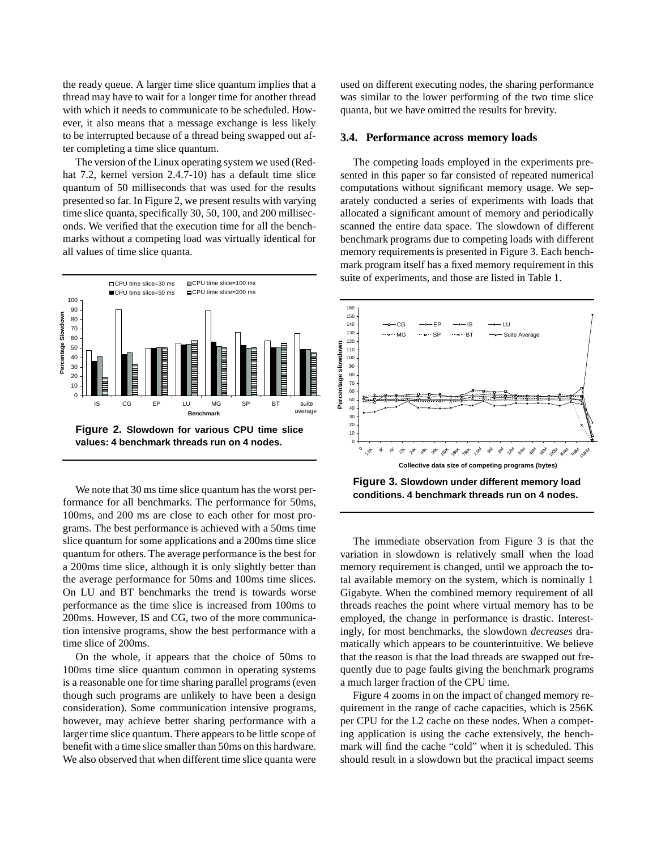the ready queue. A larger time slice quantum implies that a thread may have to wait for a longer time for another thread with which it needs to communicate to be scheduled. However, it also means that a message exchange is less likely to be interrupted because of a thread being swapped out after completing a time slice quantum.

The version of the Linux operating system we used (Redhat 7.2, kernel version 2.4.7-10) has a default time slice quantum of 50 milliseconds that was used for the results presented so far. In Figure 2, we present results with varying time slice quanta, specifically 30, 50, 100, and 200 milliseconds. We verified that the execution time for all the benchmarks without a competing load was virtually identical for all values of time slice quanta.



**values: 4 benchmark threads run on 4 nodes.**

We note that 30 ms time slice quantum has the worst performance for all benchmarks. The performance for 50ms, 100ms, and 200 ms are close to each other for most programs. The best performance is achieved with a 50ms time slice quantum for some applications and a 200ms time slice quantum for others. The average performance is the best for a 200ms time slice, although it is only slightly better than the average performance for 50ms and 100ms time slices. On LU and BT benchmarks the trend is towards worse performance as the time slice is increased from 100ms to 200ms. However, IS and CG, two of the more communication intensive programs, show the best performance with a time slice of 200ms.

On the whole, it appears that the choice of 50ms to 100ms time slice quantum common in operating systems is a reasonable one for time sharing parallel programs (even though such programs are unlikely to have been a design consideration). Some communication intensive programs, however, may achieve better sharing performance with a larger time slice quantum. There appears to be little scope of benefit with a time slice smaller than 50ms on this hardware. We also observed that when different time slice quanta were

used on different executing nodes, the sharing performance was similar to the lower performing of the two time slice quanta, but we have omitted the results for brevity.

#### **3.4. Performance across memory loads**

The competing loads employed in the experiments presented in this paper so far consisted of repeated numerical computations without significant memory usage. We separately conducted a series of experiments with loads that allocated a significant amount of memory and periodically scanned the entire data space. The slowdown of different benchmark programs due to competing loads with different memory requirements is presented in Figure 3. Each benchmark program itself has a fixed memory requirement in this suite of experiments, and those are listed in Table 1.



**Figure 3. Slowdown under different memory load conditions. 4 benchmark threads run on 4 nodes.**

The immediate observation from Figure 3 is that the variation in slowdown is relatively small when the load memory requirement is changed, until we approach the total available memory on the system, which is nominally 1 Gigabyte. When the combined memory requirement of all threads reaches the point where virtual memory has to be employed, the change in performance is drastic. Interestingly, for most benchmarks, the slowdown *decreases* dramatically which appears to be counterintuitive. We believe that the reason is that the load threads are swapped out frequently due to page faults giving the benchmark programs a much larger fraction of the CPU time.

Figure 4 zooms in on the impact of changed memory requirement in the range of cache capacities, which is 256K per CPU for the L2 cache on these nodes. When a competing application is using the cache extensively, the benchmark will find the cache "cold" when it is scheduled. This should result in a slowdown but the practical impact seems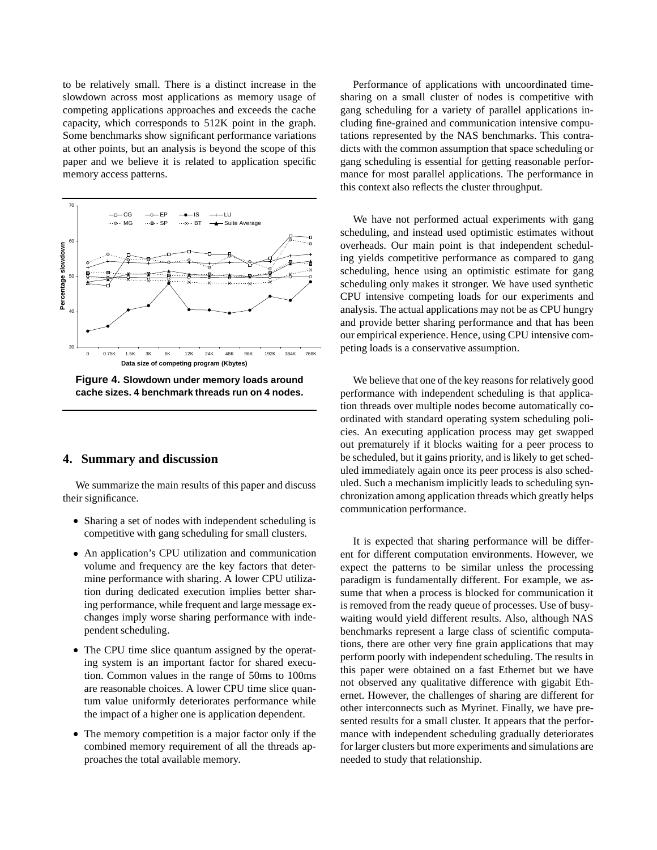to be relatively small. There is a distinct increase in the slowdown across most applications as memory usage of competing applications approaches and exceeds the cache capacity, which corresponds to 512K point in the graph. Some benchmarks show significant performance variations at other points, but an analysis is beyond the scope of this paper and we believe it is related to application specific memory access patterns.



**Figure 4. Slowdown under memory loads around cache sizes. 4 benchmark threads run on 4 nodes.**

### **4. Summary and discussion**

We summarize the main results of this paper and discuss their significance.

- Sharing a set of nodes with independent scheduling is competitive with gang scheduling for small clusters.
- An application's CPU utilization and communication volume and frequency are the key factors that determine performance with sharing. A lower CPU utilization during dedicated execution implies better sharing performance, while frequent and large message exchanges imply worse sharing performance with independent scheduling.
- The CPU time slice quantum assigned by the operating system is an important factor for shared execution. Common values in the range of 50ms to 100ms are reasonable choices. A lower CPU time slice quantum value uniformly deteriorates performance while the impact of a higher one is application dependent.
- The memory competition is a major factor only if the combined memory requirement of all the threads approaches the total available memory.

Performance of applications with uncoordinated timesharing on a small cluster of nodes is competitive with gang scheduling for a variety of parallel applications including fine-grained and communication intensive computations represented by the NAS benchmarks. This contradicts with the common assumption that space scheduling or gang scheduling is essential for getting reasonable performance for most parallel applications. The performance in this context also reflects the cluster throughput.

We have not performed actual experiments with gang scheduling, and instead used optimistic estimates without overheads. Our main point is that independent scheduling yields competitive performance as compared to gang scheduling, hence using an optimistic estimate for gang scheduling only makes it stronger. We have used synthetic CPU intensive competing loads for our experiments and analysis. The actual applications may not be as CPU hungry and provide better sharing performance and that has been our empirical experience. Hence, using CPU intensive competing loads is a conservative assumption.

We believe that one of the key reasons for relatively good performance with independent scheduling is that application threads over multiple nodes become automatically coordinated with standard operating system scheduling policies. An executing application process may get swapped out prematurely if it blocks waiting for a peer process to be scheduled, but it gains priority, and is likely to get scheduled immediately again once its peer process is also scheduled. Such a mechanism implicitly leads to scheduling synchronization among application threads which greatly helps communication performance.

It is expected that sharing performance will be different for different computation environments. However, we expect the patterns to be similar unless the processing paradigm is fundamentally different. For example, we assume that when a process is blocked for communication it is removed from the ready queue of processes. Use of busywaiting would yield different results. Also, although NAS benchmarks represent a large class of scientific computations, there are other very fine grain applications that may perform poorly with independent scheduling. The results in this paper were obtained on a fast Ethernet but we have not observed any qualitative difference with gigabit Ethernet. However, the challenges of sharing are different for other interconnects such as Myrinet. Finally, we have presented results for a small cluster. It appears that the performance with independent scheduling gradually deteriorates for larger clusters but more experiments and simulations are needed to study that relationship.